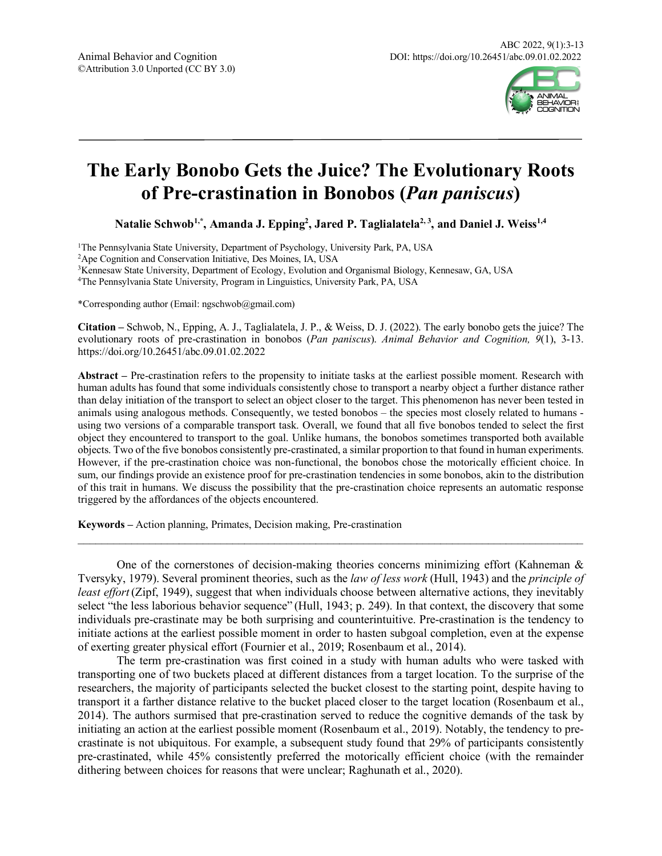

# **The Early Bonobo Gets the Juice? The Evolutionary Roots of Pre-crastination in Bonobos (***Pan paniscus***)**

<code>Natalie Schwob $^{1,*}$ , Amanda J. Epping<sup>2</sup>, Jared P. Taglialatela<sup>2, 3</sup>, and Daniel J. Weiss $^{1,4}$ </code>

1The Pennsylvania State University, Department of Psychology, University Park, PA, USA

2Ape Cognition and Conservation Initiative, Des Moines, IA, USA

3Kennesaw State University, Department of Ecology, Evolution and Organismal Biology, Kennesaw, GA, USA

4The Pennsylvania State University, Program in Linguistics, University Park, PA, USA

\*Corresponding author (Email: ngschwob@gmail.com)

**Citation –** Schwob, N., Epping, A. J., Taglialatela, J. P., & Weiss, D. J. (2022). The early bonobo gets the juice? The evolutionary roots of pre-crastination in bonobos (*Pan paniscus*). *Animal Behavior and Cognition, 9*(1), 3-13. https://doi.org/10.26451/abc.09.01.02.2022

**Abstract –** Pre-crastination refers to the propensity to initiate tasks at the earliest possible moment. Research with human adults has found that some individuals consistently chose to transport a nearby object a further distance rather than delay initiation of the transport to select an object closer to the target. This phenomenon has never been tested in animals using analogous methods. Consequently, we tested bonobos – the species most closely related to humans using two versions of a comparable transport task. Overall, we found that all five bonobos tended to select the first object they encountered to transport to the goal. Unlike humans, the bonobos sometimes transported both available objects. Two of the five bonobos consistently pre-crastinated, a similar proportion to that found in human experiments. However, if the pre-crastination choice was non-functional, the bonobos chose the motorically efficient choice. In sum, our findings provide an existence proof for pre-crastination tendencies in some bonobos, akin to the distribution of this trait in humans. We discuss the possibility that the pre-crastination choice represents an automatic response triggered by the affordances of the objects encountered.

**Keywords –** Action planning, Primates, Decision making, Pre-crastination

One of the cornerstones of decision-making theories concerns minimizing effort (Kahneman  $\&$ Tversyky, 1979). Several prominent theories, such as the *law of less work* (Hull, 1943) and the *principle of least effort* (Zipf, 1949), suggest that when individuals choose between alternative actions, they inevitably select "the less laborious behavior sequence" (Hull, 1943; p. 249). In that context, the discovery that some individuals pre-crastinate may be both surprising and counterintuitive. Pre-crastination is the tendency to initiate actions at the earliest possible moment in order to hasten subgoal completion, even at the expense of exerting greater physical effort (Fournier et al., 2019; Rosenbaum et al., 2014).

 $\mathcal{L}_\text{max}$  and  $\mathcal{L}_\text{max}$  and  $\mathcal{L}_\text{max}$  and  $\mathcal{L}_\text{max}$  and  $\mathcal{L}_\text{max}$  and  $\mathcal{L}_\text{max}$ 

The term pre-crastination was first coined in a study with human adults who were tasked with transporting one of two buckets placed at different distances from a target location. To the surprise of the researchers, the majority of participants selected the bucket closest to the starting point, despite having to transport it a farther distance relative to the bucket placed closer to the target location (Rosenbaum et al., 2014). The authors surmised that pre-crastination served to reduce the cognitive demands of the task by initiating an action at the earliest possible moment (Rosenbaum et al., 2019). Notably, the tendency to precrastinate is not ubiquitous. For example, a subsequent study found that 29% of participants consistently pre-crastinated, while 45% consistently preferred the motorically efficient choice (with the remainder dithering between choices for reasons that were unclear; Raghunath et al., 2020).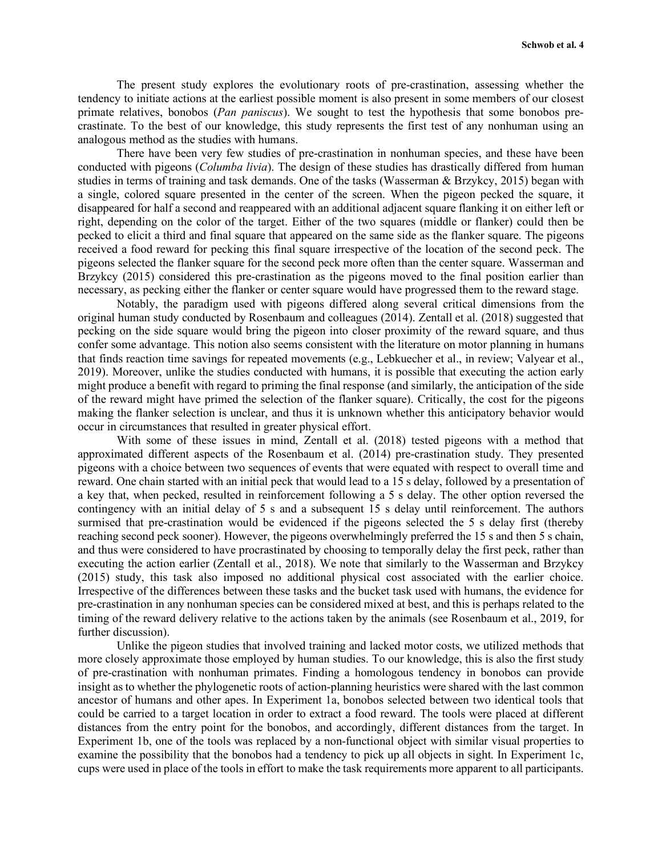The present study explores the evolutionary roots of pre-crastination, assessing whether the tendency to initiate actions at the earliest possible moment is also present in some members of our closest primate relatives, bonobos (*Pan paniscus*). We sought to test the hypothesis that some bonobos precrastinate. To the best of our knowledge, this study represents the first test of any nonhuman using an analogous method as the studies with humans.

There have been very few studies of pre-crastination in nonhuman species, and these have been conducted with pigeons (*Columba livia*). The design of these studies has drastically differed from human studies in terms of training and task demands. One of the tasks (Wasserman & Brzykcy, 2015) began with a single, colored square presented in the center of the screen. When the pigeon pecked the square, it disappeared for half a second and reappeared with an additional adjacent square flanking it on either left or right, depending on the color of the target. Either of the two squares (middle or flanker) could then be pecked to elicit a third and final square that appeared on the same side as the flanker square. The pigeons received a food reward for pecking this final square irrespective of the location of the second peck. The pigeons selected the flanker square for the second peck more often than the center square. Wasserman and Brzykcy (2015) considered this pre-crastination as the pigeons moved to the final position earlier than necessary, as pecking either the flanker or center square would have progressed them to the reward stage.

Notably, the paradigm used with pigeons differed along several critical dimensions from the original human study conducted by Rosenbaum and colleagues (2014). Zentall et al. (2018) suggested that pecking on the side square would bring the pigeon into closer proximity of the reward square, and thus confer some advantage. This notion also seems consistent with the literature on motor planning in humans that finds reaction time savings for repeated movements (e.g., Lebkuecher et al., in review; Valyear et al., 2019). Moreover, unlike the studies conducted with humans, it is possible that executing the action early might produce a benefit with regard to priming the final response (and similarly, the anticipation of the side of the reward might have primed the selection of the flanker square). Critically, the cost for the pigeons making the flanker selection is unclear, and thus it is unknown whether this anticipatory behavior would occur in circumstances that resulted in greater physical effort.

With some of these issues in mind, Zentall et al. (2018) tested pigeons with a method that approximated different aspects of the Rosenbaum et al. (2014) pre-crastination study. They presented pigeons with a choice between two sequences of events that were equated with respect to overall time and reward. One chain started with an initial peck that would lead to a 15 s delay, followed by a presentation of a key that, when pecked, resulted in reinforcement following a 5 s delay. The other option reversed the contingency with an initial delay of 5 s and a subsequent 15 s delay until reinforcement. The authors surmised that pre-crastination would be evidenced if the pigeons selected the 5 s delay first (thereby reaching second peck sooner). However, the pigeons overwhelmingly preferred the 15 s and then 5 s chain, and thus were considered to have procrastinated by choosing to temporally delay the first peck, rather than executing the action earlier (Zentall et al., 2018). We note that similarly to the Wasserman and Brzykcy (2015) study, this task also imposed no additional physical cost associated with the earlier choice. Irrespective of the differences between these tasks and the bucket task used with humans, the evidence for pre-crastination in any nonhuman species can be considered mixed at best, and this is perhaps related to the timing of the reward delivery relative to the actions taken by the animals (see Rosenbaum et al., 2019, for further discussion).

Unlike the pigeon studies that involved training and lacked motor costs, we utilized methods that more closely approximate those employed by human studies. To our knowledge, this is also the first study of pre-crastination with nonhuman primates. Finding a homologous tendency in bonobos can provide insight as to whether the phylogenetic roots of action-planning heuristics were shared with the last common ancestor of humans and other apes. In Experiment 1a, bonobos selected between two identical tools that could be carried to a target location in order to extract a food reward. The tools were placed at different distances from the entry point for the bonobos, and accordingly, different distances from the target. In Experiment 1b, one of the tools was replaced by a non-functional object with similar visual properties to examine the possibility that the bonobos had a tendency to pick up all objects in sight. In Experiment 1c, cups were used in place of the tools in effort to make the task requirements more apparent to all participants.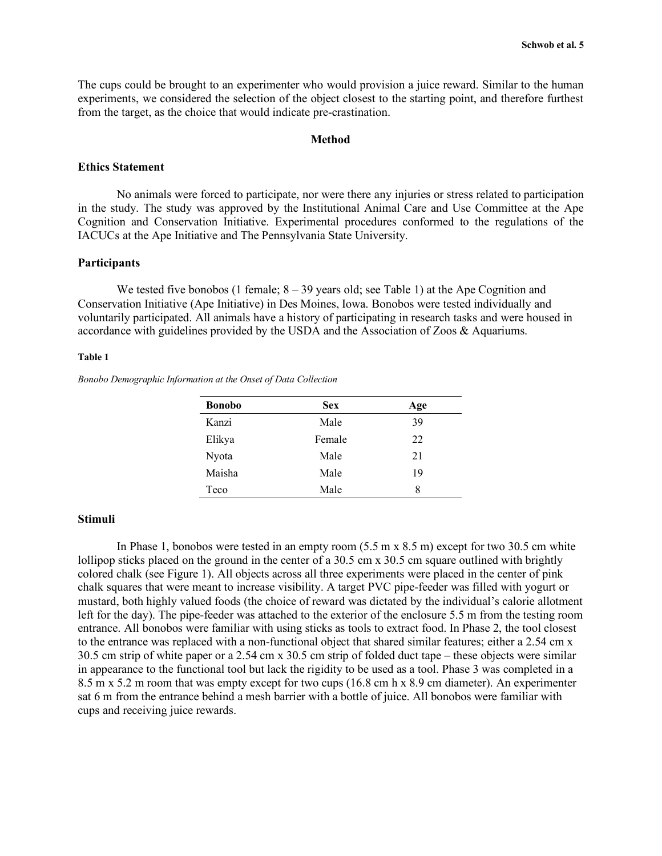The cups could be brought to an experimenter who would provision a juice reward. Similar to the human experiments, we considered the selection of the object closest to the starting point, and therefore furthest from the target, as the choice that would indicate pre-crastination.

## **Method**

## **Ethics Statement**

No animals were forced to participate, nor were there any injuries or stress related to participation in the study. The study was approved by the Institutional Animal Care and Use Committee at the Ape Cognition and Conservation Initiative. Experimental procedures conformed to the regulations of the IACUCs at the Ape Initiative and The Pennsylvania State University.

## **Participants**

We tested five bonobos (1 female;  $8 - 39$  years old; see Table 1) at the Ape Cognition and Conservation Initiative (Ape Initiative) in Des Moines, Iowa. Bonobos were tested individually and voluntarily participated. All animals have a history of participating in research tasks and were housed in accordance with guidelines provided by the USDA and the Association of Zoos & Aquariums.

#### **Table 1**

*Bonobo Demographic Information at the Onset of Data Collection*

| <b>Bonobo</b> | <b>Sex</b> | Age |  |
|---------------|------------|-----|--|
| Kanzi         | Male       | 39  |  |
| Elikya        | Female     | 22  |  |
| Nyota         | Male       | 21  |  |
| Maisha        | Male       | 19  |  |
| Teco          | Male       | 8   |  |

#### **Stimuli**

In Phase 1, bonobos were tested in an empty room (5.5 m x 8.5 m) except for two 30.5 cm white lollipop sticks placed on the ground in the center of a 30.5 cm x 30.5 cm square outlined with brightly colored chalk (see Figure 1). All objects across all three experiments were placed in the center of pink chalk squares that were meant to increase visibility. A target PVC pipe-feeder was filled with yogurt or mustard, both highly valued foods (the choice of reward was dictated by the individual's calorie allotment left for the day). The pipe-feeder was attached to the exterior of the enclosure 5.5 m from the testing room entrance. All bonobos were familiar with using sticks as tools to extract food. In Phase 2, the tool closest to the entrance was replaced with a non-functional object that shared similar features; either a 2.54 cm x 30.5 cm strip of white paper or a 2.54 cm x 30.5 cm strip of folded duct tape – these objects were similar in appearance to the functional tool but lack the rigidity to be used as a tool. Phase 3 was completed in a 8.5 m x 5.2 m room that was empty except for two cups (16.8 cm h x 8.9 cm diameter). An experimenter sat 6 m from the entrance behind a mesh barrier with a bottle of juice. All bonobos were familiar with cups and receiving juice rewards.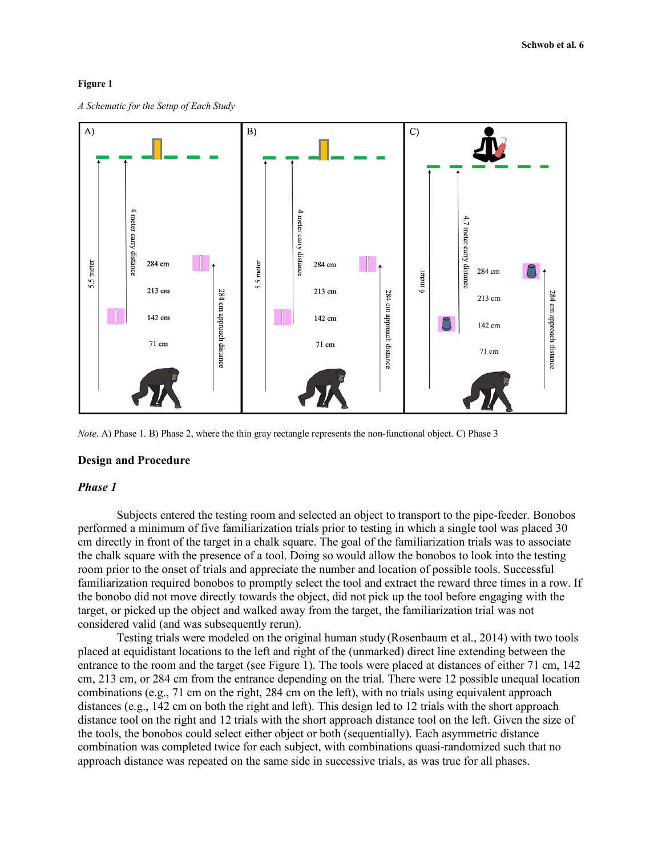## **Figure 1**

*A Schematic for the Setup of Each Study*



*Note*. A) Phase 1. B) Phase 2, where the thin gray rectangle represents the non-functional object. C) Phase 3

#### **Design and Procedure**

## *Phase 1*

Subjects entered the testing room and selected an object to transport to the pipe-feeder. Bonobos performed a minimum of five familiarization trials prior to testing in which a single tool was placed 30 cm directly in front of the target in a chalk square. The goal of the familiarization trials was to associate the chalk square with the presence of a tool. Doing so would allow the bonobos to look into the testing room prior to the onset of trials and appreciate the number and location of possible tools. Successful familiarization required bonobos to promptly select the tool and extract the reward three times in a row. If the bonobo did not move directly towards the object, did not pick up the tool before engaging with the target, or picked up the object and walked away from the target, the familiarization trial was not considered valid (and was subsequently rerun).

Testing trials were modeled on the original human study (Rosenbaum et al., 2014) with two tools placed at equidistant locations to the left and right of the (unmarked) direct line extending between the entrance to the room and the target (see Figure 1). The tools were placed at distances of either 71 cm, 142 cm, 213 cm, or 284 cm from the entrance depending on the trial. There were 12 possible unequal location combinations (e.g., 71 cm on the right, 284 cm on the left), with no trials using equivalent approach distances (e.g., 142 cm on both the right and left). This design led to 12 trials with the short approach distance tool on the right and 12 trials with the short approach distance tool on the left. Given the size of the tools, the bonobos could select either object or both (sequentially). Each asymmetric distance combination was completed twice for each subject, with combinations quasi-randomized such that no approach distance was repeated on the same side in successive trials, as was true for all phases.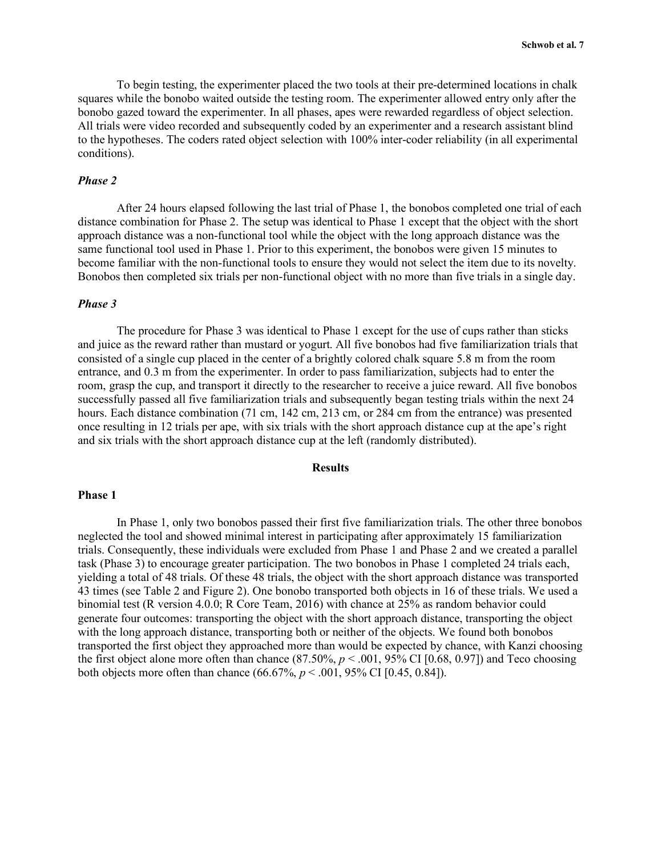To begin testing, the experimenter placed the two tools at their pre-determined locations in chalk squares while the bonobo waited outside the testing room. The experimenter allowed entry only after the bonobo gazed toward the experimenter. In all phases, apes were rewarded regardless of object selection. All trials were video recorded and subsequently coded by an experimenter and a research assistant blind to the hypotheses. The coders rated object selection with 100% inter-coder reliability (in all experimental conditions).

## *Phase 2*

After 24 hours elapsed following the last trial of Phase 1, the bonobos completed one trial of each distance combination for Phase 2. The setup was identical to Phase 1 except that the object with the short approach distance was a non-functional tool while the object with the long approach distance was the same functional tool used in Phase 1. Prior to this experiment, the bonobos were given 15 minutes to become familiar with the non-functional tools to ensure they would not select the item due to its novelty. Bonobos then completed six trials per non-functional object with no more than five trials in a single day.

## *Phase 3*

The procedure for Phase 3 was identical to Phase 1 except for the use of cups rather than sticks and juice as the reward rather than mustard or yogurt. All five bonobos had five familiarization trials that consisted of a single cup placed in the center of a brightly colored chalk square 5.8 m from the room entrance, and 0.3 m from the experimenter. In order to pass familiarization, subjects had to enter the room, grasp the cup, and transport it directly to the researcher to receive a juice reward. All five bonobos successfully passed all five familiarization trials and subsequently began testing trials within the next 24 hours. Each distance combination (71 cm, 142 cm, 213 cm, or 284 cm from the entrance) was presented once resulting in 12 trials per ape, with six trials with the short approach distance cup at the ape's right and six trials with the short approach distance cup at the left (randomly distributed).

## **Results**

## **Phase 1**

In Phase 1, only two bonobos passed their first five familiarization trials. The other three bonobos neglected the tool and showed minimal interest in participating after approximately 15 familiarization trials. Consequently, these individuals were excluded from Phase 1 and Phase 2 and we created a parallel task (Phase 3) to encourage greater participation. The two bonobos in Phase 1 completed 24 trials each, yielding a total of 48 trials. Of these 48 trials, the object with the short approach distance was transported 43 times (see Table 2 and Figure 2). One bonobo transported both objects in 16 of these trials. We used a binomial test (R version 4.0.0; R Core Team, 2016) with chance at 25% as random behavior could generate four outcomes: transporting the object with the short approach distance, transporting the object with the long approach distance, transporting both or neither of the objects. We found both bonobos transported the first object they approached more than would be expected by chance, with Kanzi choosing the first object alone more often than chance  $(87.50\%, p < .001, 95\% \text{ CI} [0.68, 0.97])$  and Teco choosing both objects more often than chance  $(66.67\%, p < .001, 95\% \text{ CI} [0.45, 0.84]).$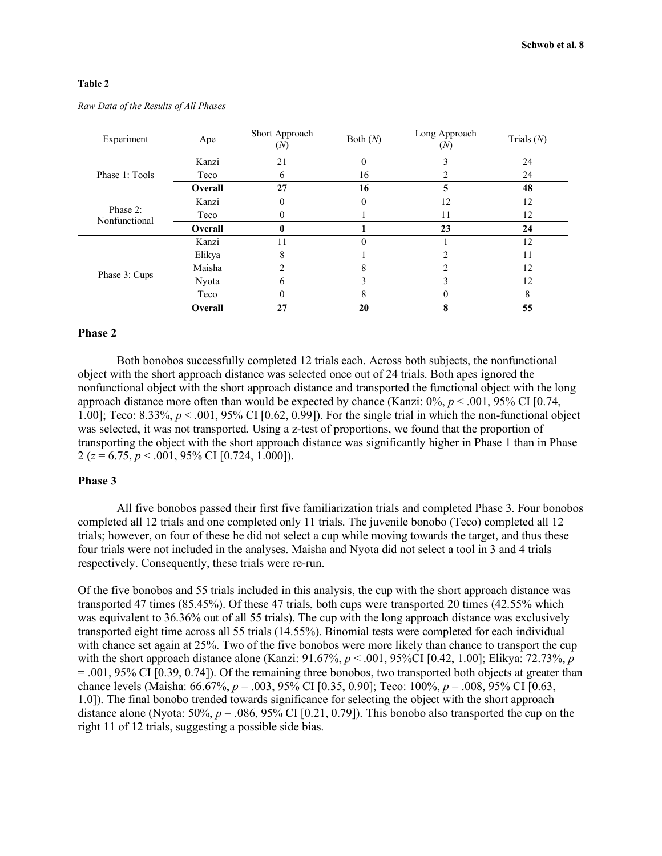## **Table 2**

| Experiment                | Ape     | Short Approach<br>(N) | Both $(N)$ | Long Approach<br>(N) | Trials $(N)$ |
|---------------------------|---------|-----------------------|------------|----------------------|--------------|
| Phase 1: Tools            | Kanzi   | 21                    | $\theta$   | 3                    | 24           |
|                           | Teco    | 6                     | 16         |                      | 24           |
|                           | Overall | 27                    | 16         | 5                    | 48           |
| Phase 2:<br>Nonfunctional | Kanzi   | 0                     | $\theta$   | 12                   | 12           |
|                           | Teco    | 0                     |            | 11                   | 12           |
|                           | Overall | 0                     |            | 23                   | 24           |
| Phase 3: Cups             | Kanzi   | 11                    |            |                      | 12           |
|                           | Elikya  | 8                     |            |                      | 11           |
|                           | Maisha  | າ                     |            |                      | 12           |
|                           | Nyota   | 6                     |            |                      | 12           |
|                           | Teco    |                       | 8          | 0                    | 8            |
|                           | Overall | 27                    | 20         | 8                    | 55           |

*Raw Data of the Results of All Phases*

## **Phase 2**

Both bonobos successfully completed 12 trials each. Across both subjects, the nonfunctional object with the short approach distance was selected once out of 24 trials. Both apes ignored the nonfunctional object with the short approach distance and transported the functional object with the long approach distance more often than would be expected by chance (Kanzi: 0%, *p* < .001, 95% CI [0.74, 1.00]; Teco: 8.33%, *p* < .001, 95% CI [0.62, 0.99]). For the single trial in which the non-functional object was selected, it was not transported. Using a z-test of proportions, we found that the proportion of transporting the object with the short approach distance was significantly higher in Phase 1 than in Phase 2 (*z* = 6.75, *p* < .001, 95% CI [0.724, 1.000]).

## **Phase 3**

All five bonobos passed their first five familiarization trials and completed Phase 3. Four bonobos completed all 12 trials and one completed only 11 trials. The juvenile bonobo (Teco) completed all 12 trials; however, on four of these he did not select a cup while moving towards the target, and thus these four trials were not included in the analyses. Maisha and Nyota did not select a tool in 3 and 4 trials respectively. Consequently, these trials were re-run.

Of the five bonobos and 55 trials included in this analysis, the cup with the short approach distance was transported 47 times (85.45%). Of these 47 trials, both cups were transported 20 times (42.55% which was equivalent to 36.36% out of all 55 trials). The cup with the long approach distance was exclusively transported eight time across all 55 trials (14.55%). Binomial tests were completed for each individual with chance set again at 25%. Two of the five bonobos were more likely than chance to transport the cup with the short approach distance alone (Kanzi: 91.67%,  $p < .001$ , 95%CI [0.42, 1.00]; Elikya: 72.73%, *p*  $= 0.001$ , 95% CI  $[0.39, 0.74]$ ). Of the remaining three bonobos, two transported both objects at greater than chance levels (Maisha: 66.67%, *p* = .003, 95% CI [0.35, 0.90]; Teco: 100%, *p* = .008, 95% CI [0.63, 1.0]). The final bonobo trended towards significance for selecting the object with the short approach distance alone (Nyota:  $50\%$ ,  $p = .086$ ,  $95\%$  CI [0.21, 0.79]). This bonobo also transported the cup on the right 11 of 12 trials, suggesting a possible side bias.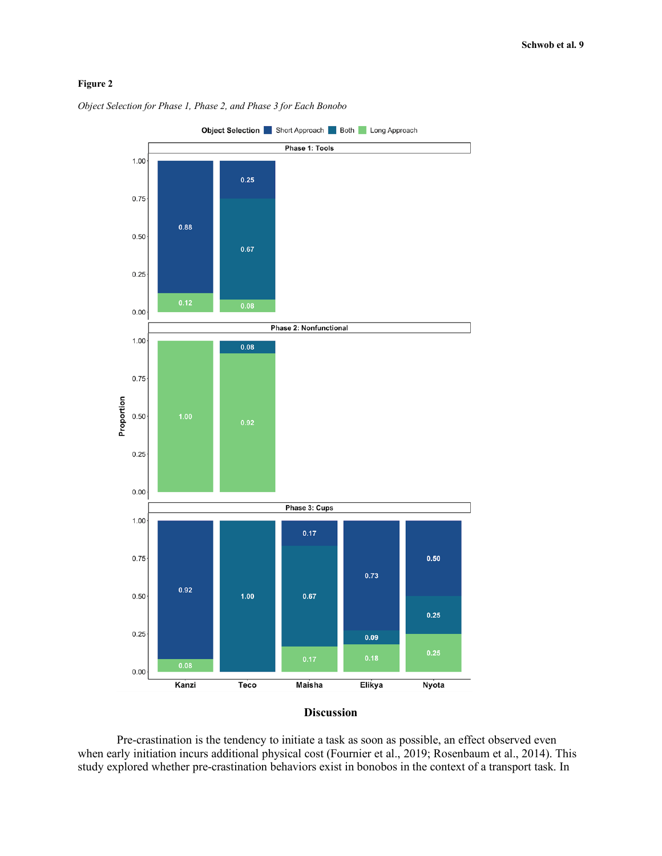# **Figure 2**



*Object Selection for Phase 1, Phase 2, and Phase 3 for Each Bonobo*

## **Discussion**

Pre-crastination is the tendency to initiate a task as soon as possible, an effect observed even when early initiation incurs additional physical cost (Fournier et al., 2019; Rosenbaum et al., 2014). This study explored whether pre-crastination behaviors exist in bonobos in the context of a transport task. In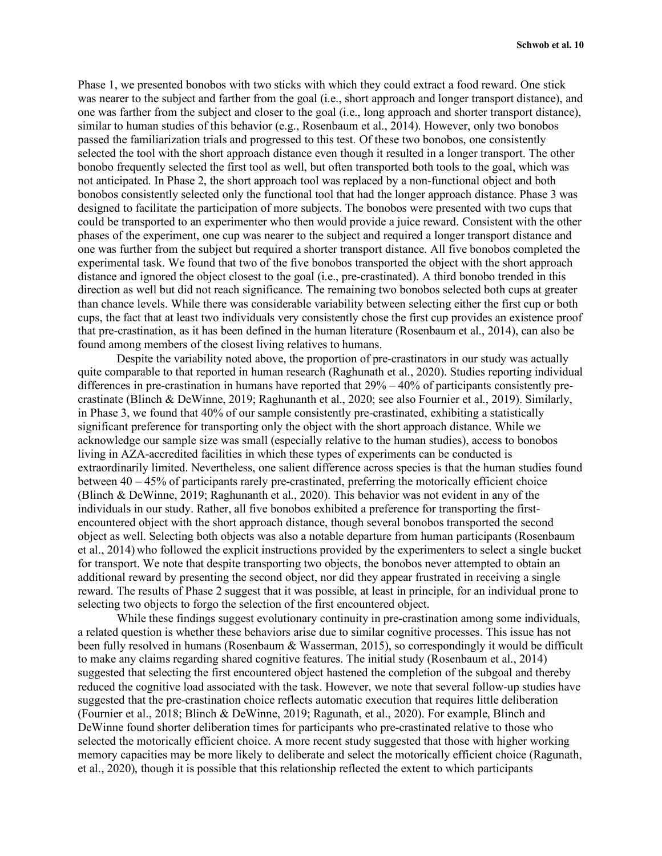Phase 1, we presented bonobos with two sticks with which they could extract a food reward. One stick was nearer to the subject and farther from the goal (i.e., short approach and longer transport distance), and one was farther from the subject and closer to the goal (i.e., long approach and shorter transport distance), similar to human studies of this behavior (e.g., Rosenbaum et al., 2014). However, only two bonobos passed the familiarization trials and progressed to this test. Of these two bonobos, one consistently selected the tool with the short approach distance even though it resulted in a longer transport. The other bonobo frequently selected the first tool as well, but often transported both tools to the goal, which was not anticipated. In Phase 2, the short approach tool was replaced by a non-functional object and both bonobos consistently selected only the functional tool that had the longer approach distance. Phase 3 was designed to facilitate the participation of more subjects. The bonobos were presented with two cups that could be transported to an experimenter who then would provide a juice reward. Consistent with the other phases of the experiment, one cup was nearer to the subject and required a longer transport distance and one was further from the subject but required a shorter transport distance. All five bonobos completed the experimental task. We found that two of the five bonobos transported the object with the short approach distance and ignored the object closest to the goal (i.e., pre-crastinated). A third bonobo trended in this direction as well but did not reach significance. The remaining two bonobos selected both cups at greater than chance levels. While there was considerable variability between selecting either the first cup or both cups, the fact that at least two individuals very consistently chose the first cup provides an existence proof that pre-crastination, as it has been defined in the human literature (Rosenbaum et al., 2014), can also be found among members of the closest living relatives to humans.

Despite the variability noted above, the proportion of pre-crastinators in our study was actually quite comparable to that reported in human research (Raghunath et al., 2020). Studies reporting individual differences in pre-crastination in humans have reported that 29% – 40% of participants consistently precrastinate (Blinch & DeWinne, 2019; Raghunanth et al., 2020; see also Fournier et al., 2019). Similarly, in Phase 3, we found that 40% of our sample consistently pre-crastinated, exhibiting a statistically significant preference for transporting only the object with the short approach distance. While we acknowledge our sample size was small (especially relative to the human studies), access to bonobos living in AZA-accredited facilities in which these types of experiments can be conducted is extraordinarily limited. Nevertheless, one salient difference across species is that the human studies found between 40 – 45% of participants rarely pre-crastinated, preferring the motorically efficient choice (Blinch & DeWinne, 2019; Raghunanth et al., 2020). This behavior was not evident in any of the individuals in our study. Rather, all five bonobos exhibited a preference for transporting the firstencountered object with the short approach distance, though several bonobos transported the second object as well. Selecting both objects was also a notable departure from human participants (Rosenbaum et al., 2014) who followed the explicit instructions provided by the experimenters to select a single bucket for transport. We note that despite transporting two objects, the bonobos never attempted to obtain an additional reward by presenting the second object, nor did they appear frustrated in receiving a single reward. The results of Phase 2 suggest that it was possible, at least in principle, for an individual prone to selecting two objects to forgo the selection of the first encountered object.

While these findings suggest evolutionary continuity in pre-crastination among some individuals, a related question is whether these behaviors arise due to similar cognitive processes. This issue has not been fully resolved in humans (Rosenbaum & Wasserman, 2015), so correspondingly it would be difficult to make any claims regarding shared cognitive features. The initial study (Rosenbaum et al., 2014) suggested that selecting the first encountered object hastened the completion of the subgoal and thereby reduced the cognitive load associated with the task. However, we note that several follow-up studies have suggested that the pre-crastination choice reflects automatic execution that requires little deliberation (Fournier et al., 2018; Blinch & DeWinne, 2019; Ragunath, et al., 2020). For example, Blinch and DeWinne found shorter deliberation times for participants who pre-crastinated relative to those who selected the motorically efficient choice. A more recent study suggested that those with higher working memory capacities may be more likely to deliberate and select the motorically efficient choice (Ragunath, et al., 2020), though it is possible that this relationship reflected the extent to which participants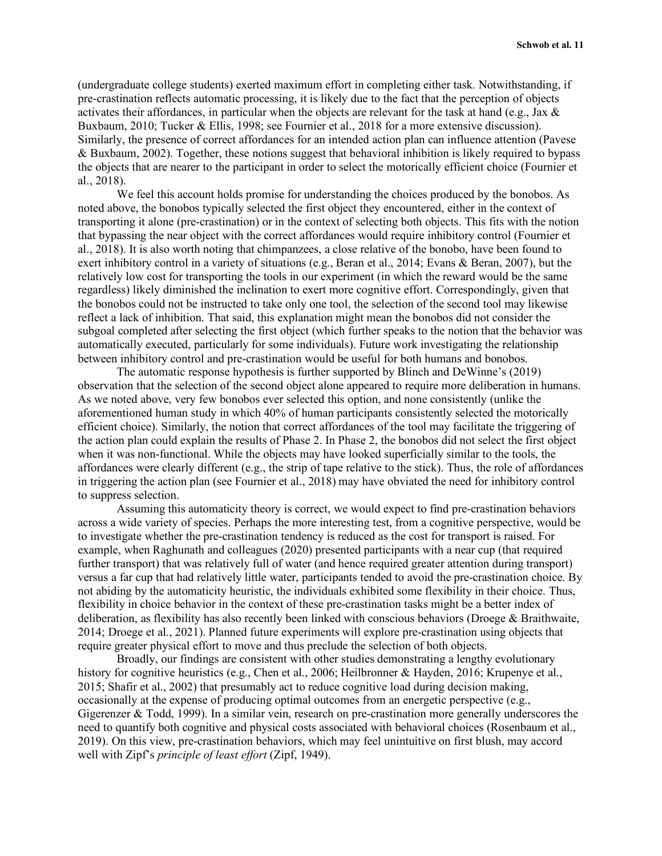(undergraduate college students) exerted maximum effort in completing either task. Notwithstanding, if pre-crastination reflects automatic processing, it is likely due to the fact that the perception of objects activates their affordances, in particular when the objects are relevant for the task at hand (e.g., Jax & Buxbaum, 2010; Tucker & Ellis, 1998; see Fournier et al., 2018 for a more extensive discussion). Similarly, the presence of correct affordances for an intended action plan can influence attention (Pavese & Buxbaum, 2002). Together, these notions suggest that behavioral inhibition is likely required to bypass the objects that are nearer to the participant in order to select the motorically efficient choice (Fournier et al., 2018).

We feel this account holds promise for understanding the choices produced by the bonobos. As noted above, the bonobos typically selected the first object they encountered, either in the context of transporting it alone (pre-crastination) or in the context of selecting both objects. This fits with the notion that bypassing the near object with the correct affordances would require inhibitory control (Fournier et al., 2018). It is also worth noting that chimpanzees, a close relative of the bonobo, have been found to exert inhibitory control in a variety of situations (e.g., Beran et al., 2014; Evans & Beran, 2007), but the relatively low cost for transporting the tools in our experiment (in which the reward would be the same regardless) likely diminished the inclination to exert more cognitive effort. Correspondingly, given that the bonobos could not be instructed to take only one tool, the selection of the second tool may likewise reflect a lack of inhibition. That said, this explanation might mean the bonobos did not consider the subgoal completed after selecting the first object (which further speaks to the notion that the behavior was automatically executed, particularly for some individuals). Future work investigating the relationship between inhibitory control and pre-crastination would be useful for both humans and bonobos.

The automatic response hypothesis is further supported by Blinch and DeWinne's (2019) observation that the selection of the second object alone appeared to require more deliberation in humans. As we noted above, very few bonobos ever selected this option, and none consistently (unlike the aforementioned human study in which 40% of human participants consistently selected the motorically efficient choice). Similarly, the notion that correct affordances of the tool may facilitate the triggering of the action plan could explain the results of Phase 2. In Phase 2, the bonobos did not select the first object when it was non-functional. While the objects may have looked superficially similar to the tools, the affordances were clearly different (e.g., the strip of tape relative to the stick). Thus, the role of affordances in triggering the action plan (see Fournier et al., 2018) may have obviated the need for inhibitory control to suppress selection.

Assuming this automaticity theory is correct, we would expect to find pre-crastination behaviors across a wide variety of species. Perhaps the more interesting test, from a cognitive perspective, would be to investigate whether the pre-crastination tendency is reduced as the cost for transport is raised. For example, when Raghunath and colleagues (2020) presented participants with a near cup (that required further transport) that was relatively full of water (and hence required greater attention during transport) versus a far cup that had relatively little water, participants tended to avoid the pre-crastination choice. By not abiding by the automaticity heuristic, the individuals exhibited some flexibility in their choice. Thus, flexibility in choice behavior in the context of these pre-crastination tasks might be a better index of deliberation, as flexibility has also recently been linked with conscious behaviors (Droege & Braithwaite, 2014; Droege et al., 2021). Planned future experiments will explore pre-crastination using objects that require greater physical effort to move and thus preclude the selection of both objects.

Broadly, our findings are consistent with other studies demonstrating a lengthy evolutionary history for cognitive heuristics (e.g., Chen et al., 2006; Heilbronner & Hayden, 2016; Krupenye et al., 2015; Shafir et al., 2002) that presumably act to reduce cognitive load during decision making, occasionally at the expense of producing optimal outcomes from an energetic perspective (e.g., Gigerenzer & Todd, 1999). In a similar vein, research on pre-crastination more generally underscores the need to quantify both cognitive and physical costs associated with behavioral choices (Rosenbaum et al., 2019). On this view, pre-crastination behaviors, which may feel unintuitive on first blush, may accord well with Zipf's *principle of least effort* (Zipf, 1949).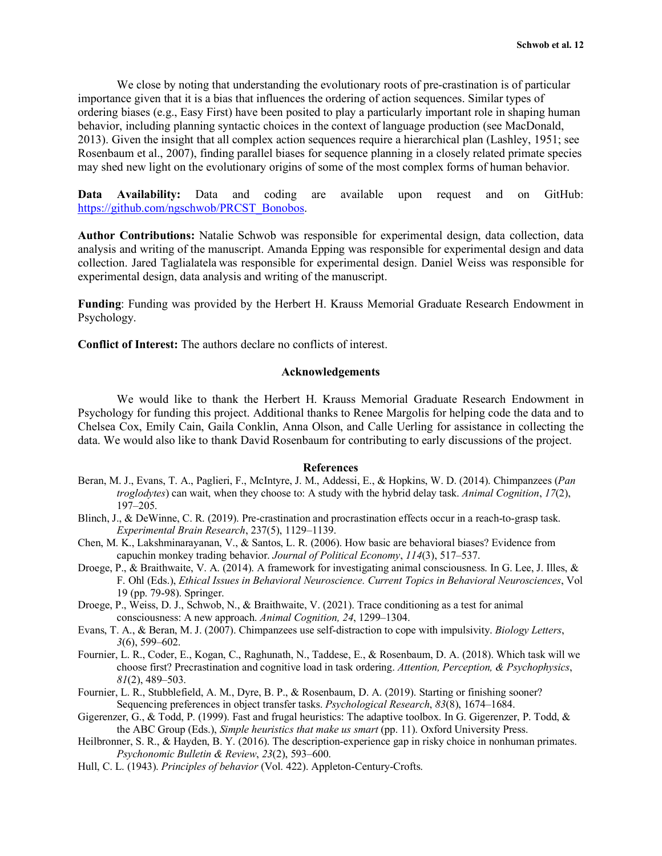We close by noting that understanding the evolutionary roots of pre-crastination is of particular importance given that it is a bias that influences the ordering of action sequences. Similar types of ordering biases (e.g., Easy First) have been posited to play a particularly important role in shaping human behavior, including planning syntactic choices in the context of language production (see MacDonald, 2013). Given the insight that all complex action sequences require a hierarchical plan (Lashley, 1951; see Rosenbaum et al., 2007), finding parallel biases for sequence planning in a closely related primate species may shed new light on the evolutionary origins of some of the most complex forms of human behavior.

**Data Availability:** Data and coding are available upon request and on GitHub: https://github.com/ngschwob/PRCST\_Bonobos.

**Author Contributions:** Natalie Schwob was responsible for experimental design, data collection, data analysis and writing of the manuscript. Amanda Epping was responsible for experimental design and data collection. Jared Taglialatela was responsible for experimental design. Daniel Weiss was responsible for experimental design, data analysis and writing of the manuscript.

**Funding**: Funding was provided by the Herbert H. Krauss Memorial Graduate Research Endowment in Psychology.

**Conflict of Interest:** The authors declare no conflicts of interest.

## **Acknowledgements**

We would like to thank the Herbert H. Krauss Memorial Graduate Research Endowment in Psychology for funding this project. Additional thanks to Renee Margolis for helping code the data and to Chelsea Cox, Emily Cain, Gaila Conklin, Anna Olson, and Calle Uerling for assistance in collecting the data. We would also like to thank David Rosenbaum for contributing to early discussions of the project.

## **References**

- Beran, M. J., Evans, T. A., Paglieri, F., McIntyre, J. M., Addessi, E., & Hopkins, W. D. (2014). Chimpanzees (*Pan troglodytes*) can wait, when they choose to: A study with the hybrid delay task. *Animal Cognition*, *17*(2), 197–205.
- Blinch, J., & DeWinne, C. R. (2019). Pre-crastination and procrastination effects occur in a reach-to-grasp task. *Experimental Brain Research*, 237(5), 1129–1139.
- Chen, M. K., Lakshminarayanan, V., & Santos, L. R. (2006). How basic are behavioral biases? Evidence from capuchin monkey trading behavior. *Journal of Political Economy*, *114*(3), 517–537.
- Droege, P., & Braithwaite, V. A. (2014). A framework for investigating animal consciousness. In G. Lee, J. Illes, & F. Ohl (Eds.), *Ethical Issues in Behavioral Neuroscience. Current Topics in Behavioral Neurosciences*, Vol 19 (pp. 79-98). Springer.
- Droege, P., Weiss, D. J., Schwob, N., & Braithwaite, V. (2021). Trace conditioning as a test for animal consciousness: A new approach. *Animal Cognition, 24*, 1299–1304.
- Evans, T. A., & Beran, M. J. (2007). Chimpanzees use self-distraction to cope with impulsivity. *Biology Letters*, *3*(6), 599–602.
- Fournier, L. R., Coder, E., Kogan, C., Raghunath, N., Taddese, E., & Rosenbaum, D. A. (2018). Which task will we choose first? Precrastination and cognitive load in task ordering. *Attention, Perception, & Psychophysics*, *81*(2), 489–503.
- Fournier, L. R., Stubblefield, A. M., Dyre, B. P., & Rosenbaum, D. A. (2019). Starting or finishing sooner? Sequencing preferences in object transfer tasks. *Psychological Research*, *83*(8), 1674–1684.
- Gigerenzer, G., & Todd, P. (1999). Fast and frugal heuristics: The adaptive toolbox. In G. Gigerenzer, P. Todd, & the ABC Group (Eds.), *Simple heuristics that make us smart* (pp. 11). Oxford University Press.
- Heilbronner, S. R., & Hayden, B. Y. (2016). The description-experience gap in risky choice in nonhuman primates. *Psychonomic Bulletin & Review*, *23*(2), 593–600.
- Hull, C. L. (1943). *Principles of behavior* (Vol. 422). Appleton-Century-Crofts.